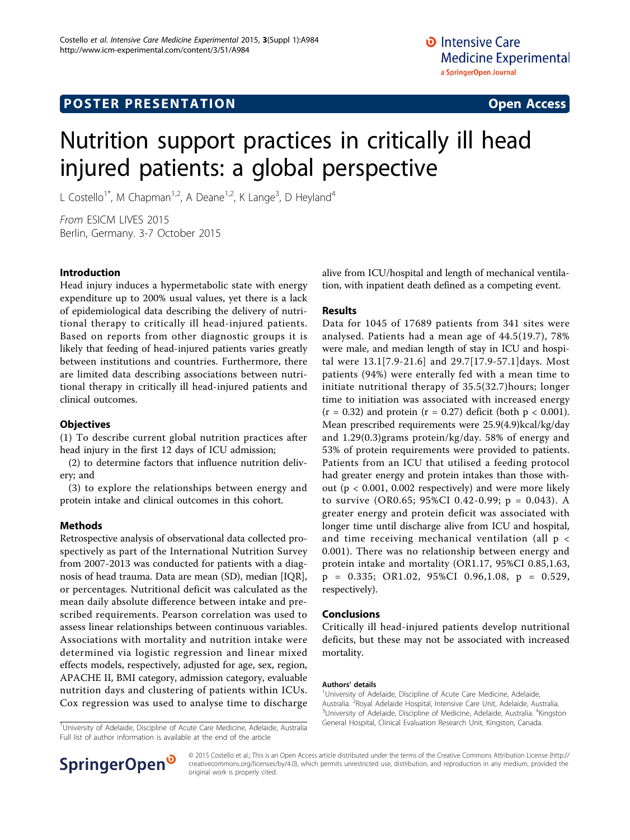# **POSTER PRESENTATION CONSUMING THE SERVICE SERVICE SERVICES**

# Nutrition support practices in critically ill head injured patients: a global perspective

L Costello<sup>1\*</sup>, M Chapman<sup>1,2</sup>, A Deane<sup>1,2</sup>, K Lange<sup>3</sup>, D Heyland<sup>4</sup>

From ESICM LIVES 2015 Berlin, Germany. 3-7 October 2015

### Introduction

Head injury induces a hypermetabolic state with energy expenditure up to 200% usual values, yet there is a lack of epidemiological data describing the delivery of nutritional therapy to critically ill head-injured patients. Based on reports from other diagnostic groups it is likely that feeding of head-injured patients varies greatly between institutions and countries. Furthermore, there are limited data describing associations between nutritional therapy in critically ill head-injured patients and clinical outcomes.

#### **Objectives**

(1) To describe current global nutrition practices after head injury in the first 12 days of ICU admission;

(2) to determine factors that influence nutrition delivery; and

(3) to explore the relationships between energy and protein intake and clinical outcomes in this cohort.

### Methods

Retrospective analysis of observational data collected prospectively as part of the International Nutrition Survey from 2007-2013 was conducted for patients with a diagnosis of head trauma. Data are mean (SD), median [IQR], or percentages. Nutritional deficit was calculated as the mean daily absolute difference between intake and prescribed requirements. Pearson correlation was used to assess linear relationships between continuous variables. Associations with mortality and nutrition intake were determined via logistic regression and linear mixed effects models, respectively, adjusted for age, sex, region, APACHE II, BMI category, admission category, evaluable nutrition days and clustering of patients within ICUs. Cox regression was used to analyse time to discharge

<sup>1</sup>University of Adelaide, Discipline of Acute Care Medicine, Adelaide, Australia Full list of author information is available at the end of the article



#### Results

Data for 1045 of 17689 patients from 341 sites were analysed. Patients had a mean age of 44.5(19.7), 78% were male, and median length of stay in ICU and hospital were 13.1[7.9-21.6] and 29.7[17.9-57.1]days. Most patients (94%) were enterally fed with a mean time to initiate nutritional therapy of 35.5(32.7)hours; longer time to initiation was associated with increased energy  $(r = 0.32)$  and protein  $(r = 0.27)$  deficit (both  $p < 0.001$ ). Mean prescribed requirements were 25.9(4.9)kcal/kg/day and 1.29(0.3)grams protein/kg/day. 58% of energy and 53% of protein requirements were provided to patients. Patients from an ICU that utilised a feeding protocol had greater energy and protein intakes than those without (p < 0.001, 0.002 respectively) and were more likely to survive (OR0.65; 95%CI 0.42-0.99; p = 0.043). A greater energy and protein deficit was associated with longer time until discharge alive from ICU and hospital, and time receiving mechanical ventilation (all p < 0.001). There was no relationship between energy and protein intake and mortality (OR1.17, 95%CI 0.85,1.63, p = 0.335; OR1.02, 95%CI 0.96,1.08, p = 0.529, respectively).

#### Conclusions

Critically ill head-injured patients develop nutritional deficits, but these may not be associated with increased mortality.

#### Authors' details <sup>1</sup>

University of Adelaide, Discipline of Acute Care Medicine, Adelaide, Australia. <sup>2</sup> Royal Adelaide Hospital, Intensive Care Unit, Adelaide, Australia.<br><sup>3</sup> Iniversity of Adelaide, Discipline of Medicine, Adelaide, Australia. <sup>4</sup> Kingst University of Adelaide, Discipline of Medicine, Adelaide, Australia. <sup>4</sup>Kingston General Hospital, Clinical Evaluation Research Unit, Kingston, Canada. <sup>1</sup>



© 2015 Costello et al.; This is an Open Access article distributed under the terms of the Creative Commons Attribution License [\(http://](http://creativecommons.org/licenses/by/4.0) [creativecommons.org/licenses/by/4.0](http://creativecommons.org/licenses/by/4.0)), which permits unrestricted use, distribution, and reproduction in any medium, provided the original work is properly cited.